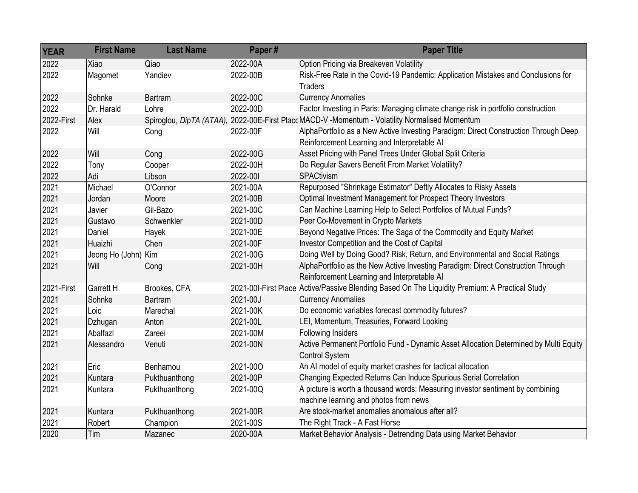| <b>YEAR</b> | <b>First Name</b>   | <b>Last Name</b> | Paper#   | <b>Paper Title</b>                                                                                                                 |
|-------------|---------------------|------------------|----------|------------------------------------------------------------------------------------------------------------------------------------|
| 2022        | Xiao                | Qiao             | 2022-00A | Option Pricing via Breakeven Volatility                                                                                            |
| 2022        | Magomet             | Yandiev          | 2022-00B | Risk-Free Rate in the Covid-19 Pandemic: Application Mistakes and Conclusions for<br><b>Traders</b>                                |
| 2022        | Sohnke              | Bartram          | 2022-00C | <b>Currency Anomalies</b>                                                                                                          |
| 2022        | Dr. Harald          | Lohre            | 2022-00D | Factor Investing in Paris: Managing climate change risk in portfolio construction                                                  |
| 2022-First  | Alex                |                  |          | Spiroglou, DipTA (ATAA), 2022-00E-First Placc MACD-V -Momentum - Volatility Normalised Momentum                                    |
| 2022        | Will                | Cong             | 2022-00F | AlphaPortfolio as a New Active Investing Paradigm: Direct Construction Through Deep<br>Reinforcement Learning and Interpretable AI |
| 2022        | Will                | Cong             | 2022-00G | Asset Pricing with Panel Trees Under Global Split Criteria                                                                         |
| 2022        | Tony                | Cooper           | 2022-00H | Do Regular Savers Benefit From Market Volatility?                                                                                  |
| 2022        | Adi                 | Libson           | 2022-001 | SPACtivism                                                                                                                         |
| 2021        | Michael             | O'Connor         | 2021-00A | Repurposed "Shrinkage Estimator" Deftly Allocates to Risky Assets                                                                  |
| 2021        | Jordan              | Moore            | 2021-00B | Optimal Investment Management for Prospect Theory Investors                                                                        |
| 2021        | Javier              | Gil-Bazo         | 2021-00C | Can Machine Learning Help to Select Portfolios of Mutual Funds?                                                                    |
| 2021        | Gustavo             | Schwenkler       | 2021-00D | Peer Co-Movement in Crypto Markets                                                                                                 |
| 2021        | Daniel              | Hayek            | 2021-00E | Beyond Negative Prices: The Saga of the Commodity and Equity Market                                                                |
| 2021        | Huaizhi             | Chen             | 2021-00F | Investor Competition and the Cost of Capital                                                                                       |
| 2021        | Jeong Ho (John) Kim |                  | 2021-00G | Doing Well by Doing Good? Risk, Return, and Environmental and Social Ratings                                                       |
| 2021        | Will                | Cong             | 2021-00H | AlphaPortfolio as the New Active Investing Paradigm: Direct Construction Through<br>Reinforcement Learning and Interpretable AI    |
| 2021-First  | Garrett H           | Brookes, CFA     |          | 2021-001-First Place Active/Passive Blending Based On The Liquidity Premium: A Practical Study                                     |
| 2021        | Sohnke              | Bartram          | 2021-00J | <b>Currency Anomalies</b>                                                                                                          |
| 2021        | Loic                | Marechal         | 2021-00K | Do economic variables forecast commodity futures?                                                                                  |
| 2021        | Dzhugan             | Anton            | 2021-00L | LEI, Momentum, Treasuries, Forward Looking                                                                                         |
| 2021        | Abalfazl            | Zareei           | 2021-00M | Following Insiders                                                                                                                 |
| 2021        | Alessandro          | Venuti           | 2021-00N | Active Permanent Portfolio Fund - Dynamic Asset Allocation Determined by Multi Equity<br><b>Control System</b>                     |
| 2021        | Eric                | Benhamou         | 2021-000 | An AI model of equity market crashes for tactical allocation                                                                       |
| 2021        | Kuntara             | Pukthuanthong    | 2021-00P | Changing Expected Returns Can Induce Spurious Serial Correlation                                                                   |
| 2021        | Kuntara             | Pukthuanthong    | 2021-00Q | A picture is worth a thousand words: Measuring investor sentiment by combining                                                     |
|             |                     |                  |          | machine learning and photos from news                                                                                              |
| 2021        | Kuntara             | Pukthuanthong    | 2021-00R | Are stock-market anomalies anomalous after all?                                                                                    |
| 2021        | Robert              | Champion         | 2021-00S | The Right Track - A Fast Horse                                                                                                     |
| 2020        | Tim                 | Mazanec          | 2020-00A | Market Behavior Analysis - Detrending Data using Market Behavior                                                                   |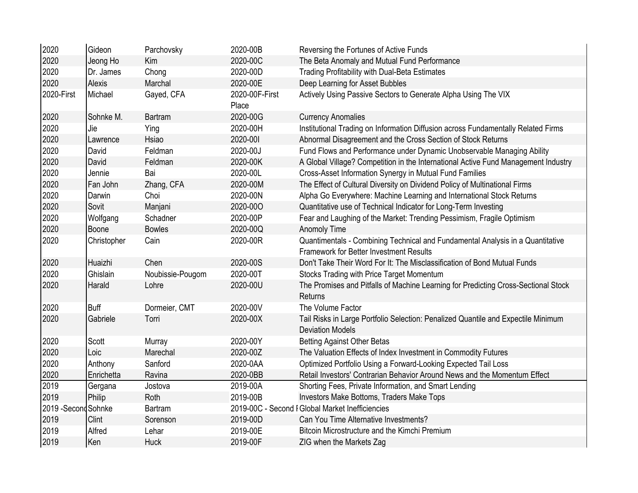| 2020                 | Gideon        | Parchovsky       | 2020-00B                | Reversing the Fortunes of Active Funds                                                                                           |
|----------------------|---------------|------------------|-------------------------|----------------------------------------------------------------------------------------------------------------------------------|
| 2020                 | Jeong Ho      | Kim              | 2020-00C                | The Beta Anomaly and Mutual Fund Performance                                                                                     |
| 2020                 | Dr. James     | Chong            | 2020-00D                | <b>Trading Profitability with Dual-Beta Estimates</b>                                                                            |
| 2020                 | <b>Alexis</b> | Marchal          | 2020-00E                | Deep Learning for Asset Bubbles                                                                                                  |
| 2020-First           | Michael       | Gayed, CFA       | 2020-00F-First<br>Place | Actively Using Passive Sectors to Generate Alpha Using The VIX                                                                   |
| 2020                 | Sohnke M.     | Bartram          | 2020-00G                | <b>Currency Anomalies</b>                                                                                                        |
| 2020                 | Jie           | Ying             | 2020-00H                | Institutional Trading on Information Diffusion across Fundamentally Related Firms                                                |
| 2020                 | Lawrence      | Hsiao            | 2020-001                | Abnormal Disagreement and the Cross Section of Stock Returns                                                                     |
| 2020                 | David         | Feldman          | 2020-00J                | Fund Flows and Performance under Dynamic Unobservable Managing Ability                                                           |
| 2020                 | David         | Feldman          | 2020-00K                | A Global Village? Competition in the International Active Fund Management Industry                                               |
| 2020                 | Jennie        | Bai              | 2020-00L                | Cross-Asset Information Synergy in Mutual Fund Families                                                                          |
| 2020                 | Fan John      | Zhang, CFA       | 2020-00M                | The Effect of Cultural Diversity on Dividend Policy of Multinational Firms                                                       |
| 2020                 | Darwin        | Choi             | 2020-00N                | Alpha Go Everywhere: Machine Learning and International Stock Returns                                                            |
| 2020                 | Sovit         | Manjani          | 2020-000                | Quantitative use of Technical Indicator for Long-Term Investing                                                                  |
| 2020                 | Wolfgang      | Schadner         | 2020-00P                | Fear and Laughing of the Market: Trending Pessimism, Fragile Optimism                                                            |
| 2020                 | Boone         | <b>Bowles</b>    | 2020-00Q                | Anomoly Time                                                                                                                     |
| 2020                 | Christopher   | Cain             | 2020-00R                | Quantimentals - Combining Technical and Fundamental Analysis in a Quantitative<br><b>Framework for Better Investment Results</b> |
| 2020                 | Huaizhi       | Chen             | 2020-00S                | Don't Take Their Word For It: The Misclassification of Bond Mutual Funds                                                         |
| 2020                 | Ghislain      | Noubissie-Pougom | 2020-00T                | Stocks Trading with Price Target Momentum                                                                                        |
| 2020                 | Harald        | Lohre            | 2020-00U                | The Promises and Pitfalls of Machine Learning for Predicting Cross-Sectional Stock<br>Returns                                    |
| 2020                 | Buff          | Dormeier, CMT    | 2020-00V                | The Volume Factor                                                                                                                |
| 2020                 | Gabriele      | Torri            | 2020-00X                | Tail Risks in Large Portfolio Selection: Penalized Quantile and Expectile Minimum<br><b>Deviation Models</b>                     |
| 2020                 | Scott         | Murray           | 2020-00Y                | <b>Betting Against Other Betas</b>                                                                                               |
| 2020                 | Loic          | Marechal         | 2020-00Z                | The Valuation Effects of Index Investment in Commodity Futures                                                                   |
| 2020                 | Anthony       | Sanford          | 2020-0AA                | Optimized Portfolio Using a Forward-Looking Expected Tail Loss                                                                   |
| 2020                 | Enrichetta    | Ravina           | 2020-0BB                | Retail Investors' Contrarian Behavior Around News and the Momentum Effect                                                        |
| 2019                 | Gergana       | Jostova          | 2019-00A                | Shorting Fees, Private Information, and Smart Lending                                                                            |
| 2019                 | Philip        | Roth             | 2019-00B                | <b>Investors Make Bottoms, Traders Make Tops</b>                                                                                 |
| 2019 - Second Sohnke |               | Bartram          |                         | 2019-00C - Second I Global Market Inefficiencies                                                                                 |
| 2019                 | Clint         | Sorenson         | 2019-00D                | Can You Time Alternative Investments?                                                                                            |
| 2019                 | Alfred        | Lehar            | 2019-00E                | Bitcoin Microstructure and the Kimchi Premium                                                                                    |
| 2019                 | Ken           | <b>Huck</b>      | 2019-00F                | ZIG when the Markets Zag                                                                                                         |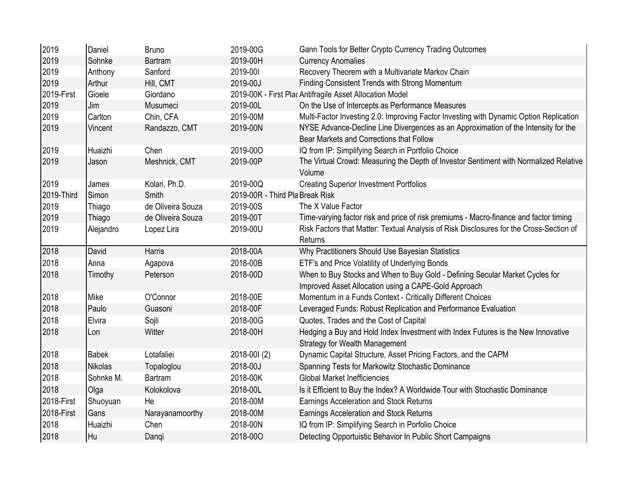| 2019       | Daniel    | <b>Bruno</b>      | 2019-00G     | Gann Tools for Better Crypto Currency Trading Outcomes                                                                               |
|------------|-----------|-------------------|--------------|--------------------------------------------------------------------------------------------------------------------------------------|
| 2019       | Sohnke    | <b>Bartram</b>    | 2019-00H     | <b>Currency Anomalies</b>                                                                                                            |
| 2019       | Anthony   | Sanford           | 2019-001     | Recovery Theorem with a Multivariate Markov Chain                                                                                    |
| 2019       | Arthur    | Hill, CMT         | 2019-00J     | Finding Consistent Trends with Strong Momentum                                                                                       |
| 2019-First | Gioele    | Giordano          |              | 2019-00K - First Plac Antifragile Asset Allocation Model                                                                             |
| 2019       | Jim       | Musumeci          | 2019-00L     | On the Use of Intercepts as Performance Measures                                                                                     |
| 2019       | Carlton   | Chin, CFA         | 2019-00M     | Multi-Factor Investing 2.0: Improving Factor Investing with Dynamic Option Replication                                               |
| 2019       | Vincent   | Randazzo, CMT     | 2019-00N     | NYSE Advance-Decline Line Divergences as an Approximation of the Intensity for the<br>Bear Markets and Corrections that Follow       |
| 2019       | Huaizhi   | Chen              | 2019-000     | IQ from IP: Simplifying Search in Portfolio Choice                                                                                   |
| 2019       | Jason     | Meshnick, CMT     | 2019-00P     | The Virtual Crowd: Measuring the Depth of Investor Sentiment with Normalized Relative<br>Volume                                      |
| 2019       | James     | Kolari, Ph.D.     | 2019-00Q     | <b>Creating Superior Investment Portfolios</b>                                                                                       |
| 2019-Third | Simon     | Smith             |              | 2019-00R - Third Pla Break Risk                                                                                                      |
| 2019       | Thiago    | de Oliveira Souza | 2019-00S     | The X Value Factor                                                                                                                   |
| 2019       | Thiago    | de Oliveira Souza | 2019-00T     | Time-varying factor risk and price of risk premiums - Macro-finance and factor timing                                                |
| 2019       | Alejandro | Lopez Lira        | 2019-00U     | Risk Factors that Matter: Textual Analysis of Risk Disclosures for the Cross-Section of<br>Returns                                   |
| 2018       | David     | Harris            | 2018-00A     | Why Practitioners Should Use Bayesian Statistics                                                                                     |
| 2018       | Anna      | Agapova           | 2018-00B     | ETF's and Price Volatility of Underlying Bonds                                                                                       |
| 2018       | Timothy   | Peterson          | 2018-00D     | When to Buy Stocks and When to Buy Gold - Defining Secular Market Cycles for<br>Improved Asset Allocation using a CAPE-Gold Approach |
| 2018       | Mike      | O'Connor          | 2018-00E     | Momentum in a Funds Context - Critically Different Choices                                                                           |
| 2018       | Paulo     | Guasoni           | 2018-00F     | Leveraged Funds: Robust Replication and Performance Evaluation                                                                       |
| 2018       | Elvira    | Sojli             | 2018-00G     | Quotes, Trades and the Cost of Capital                                                                                               |
| 2018       | Lon       | Witter            | 2018-00H     | Hedging a Buy and Hold Index Investment with Index Futures is the New Innovative<br><b>Strategy for Wealth Management</b>            |
| 2018       | Babek     | Lotafaliei        | 2018-001 (2) | Dynamic Capital Structure, Asset Pricing Factors, and the CAPM                                                                       |
| 2018       | Nikolas   | Topaloglou        | 2018-00J     | Spanning Tests for Markowitz Stochastic Dominance                                                                                    |
| 2018       | Sohnke M. | Bartram           | 2018-00K     | <b>Global Market Inefficiencies</b>                                                                                                  |
| 2018       | Olga      | Kolokolova        | 2018-00L     | Is it Efficient to Buy the Index? A Worldwide Tour with Stochastic Dominance                                                         |
| 2018-First | Shuoyuan  | He                | 2018-00M     | Earnings Acceleration and Stock Returns                                                                                              |
| 2018-First | Gans      | Narayanamoorthy   | 2018-00M     | Earnings Acceleration and Stock Returns                                                                                              |
| 2018       | Huaizhi   | Chen              | 2018-00N     | IQ from IP: Simplifying Search in Porfolio Choice                                                                                    |
| 2018       | Hu        | Dangi             | 2018-000     | Detecting Opportuistic Behavior In Public Short Campaigns                                                                            |
|            |           |                   |              |                                                                                                                                      |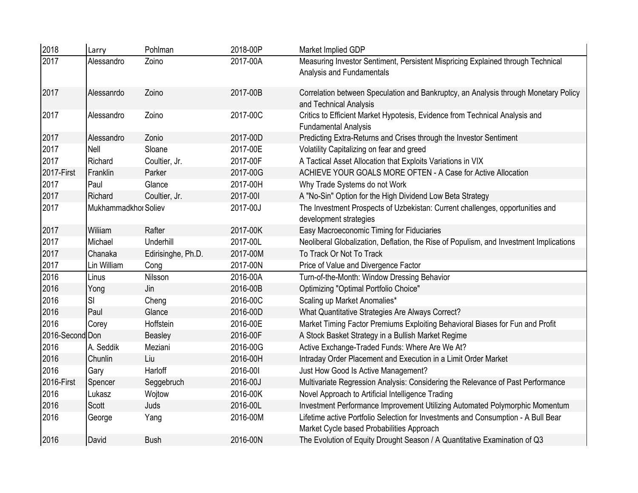| 2018            | Larry                | Pohlman            | 2018-00P | Market Implied GDP                                                                                                             |
|-----------------|----------------------|--------------------|----------|--------------------------------------------------------------------------------------------------------------------------------|
| 2017            | Alessandro           | Zoino              | 2017-00A | Measuring Investor Sentiment, Persistent Mispricing Explained through Technical<br>Analysis and Fundamentals                   |
| 2017            | Alessanrdo           | Zoino              | 2017-00B | Correlation between Speculation and Bankruptcy, an Analysis through Monetary Policy<br>and Technical Analysis                  |
| 2017            | Alessandro           | Zoino              | 2017-00C | Critics to Efficient Market Hypotesis, Evidence from Technical Analysis and<br><b>Fundamental Analysis</b>                     |
| 2017            | Alessandro           | Zonio              | 2017-00D | Predicting Extra-Returns and Crises through the Investor Sentiment                                                             |
| 2017            | Nell                 | Sloane             | 2017-00E | Volatility Capitalizing on fear and greed                                                                                      |
| 2017            | Richard              | Coultier, Jr.      | 2017-00F | A Tactical Asset Allocation that Exploits Variations in VIX                                                                    |
| 2017-First      | Franklin             | Parker             | 2017-00G | ACHIEVE YOUR GOALS MORE OFTEN - A Case for Active Allocation                                                                   |
| 2017            | Paul                 | Glance             | 2017-00H | Why Trade Systems do not Work                                                                                                  |
| 2017            | Richard              | Coultier, Jr.      | 2017-001 | A "No-Sin" Option for the High Dividend Low Beta Strategy                                                                      |
| 2017            | Mukhammadkhor Soliev |                    | 2017-00J | The Investment Prospects of Uzbekistan: Current challenges, opportunities and                                                  |
|                 |                      |                    |          | development strategies                                                                                                         |
| 2017            | Wiliiam              | Rafter             | 2017-00K | Easy Macroeconomic Timing for Fiduciaries                                                                                      |
| 2017            | Michael              | Underhill          | 2017-00L | Neoliberal Globalization, Deflation, the Rise of Populism, and Investment Implications                                         |
| 2017            | Chanaka              | Edirisinghe, Ph.D. | 2017-00M | To Track Or Not To Track                                                                                                       |
| 2017            | Lin William          | Cong               | 2017-00N | Price of Value and Divergence Factor                                                                                           |
| 2016            | Linus                | Nilsson            | 2016-00A | Turn-of-the-Month: Window Dressing Behavior                                                                                    |
| 2016            | Yong                 | Jin                | 2016-00B | Optimizing "Optimal Portfolio Choice"                                                                                          |
| 2016            | SI                   | Cheng              | 2016-00C | Scaling up Market Anomalies*                                                                                                   |
| 2016            | Paul                 | Glance             | 2016-00D | What Quantitative Strategies Are Always Correct?                                                                               |
| 2016            | Corey                | Hoffstein          | 2016-00E | Market Timing Factor Premiums Exploiting Behavioral Biases for Fun and Profit                                                  |
| 2016-Second Don |                      | Beasley            | 2016-00F | A Stock Basket Strategy in a Bullish Market Regime                                                                             |
| 2016            | A. Seddik            | Meziani            | 2016-00G | Active Exchange-Traded Funds: Where Are We At?                                                                                 |
| 2016            | Chunlin              | Liu                | 2016-00H | Intraday Order Placement and Execution in a Limit Order Market                                                                 |
| 2016            | Gary                 | Harloff            | 2016-001 | Just How Good Is Active Management?                                                                                            |
| 2016-First      | Spencer              | Seggebruch         | 2016-00J | Multivariate Regression Analysis: Considering the Relevance of Past Performance                                                |
| 2016            | Lukasz               | Wojtow             | 2016-00K | Novel Approach to Artificial Intelligence Trading                                                                              |
| 2016            | Scott                | Juds               | 2016-00L | Investment Performance Improvement Utilizing Automated Polymorphic Momentum                                                    |
| 2016            | George               | Yang               | 2016-00M | Lifetime active Portfolio Selection for Investments and Consumption - A Bull Bear<br>Market Cycle based Probabilities Approach |
| 2016            | David                | <b>Bush</b>        | 2016-00N | The Evolution of Equity Drought Season / A Quantitative Examination of Q3                                                      |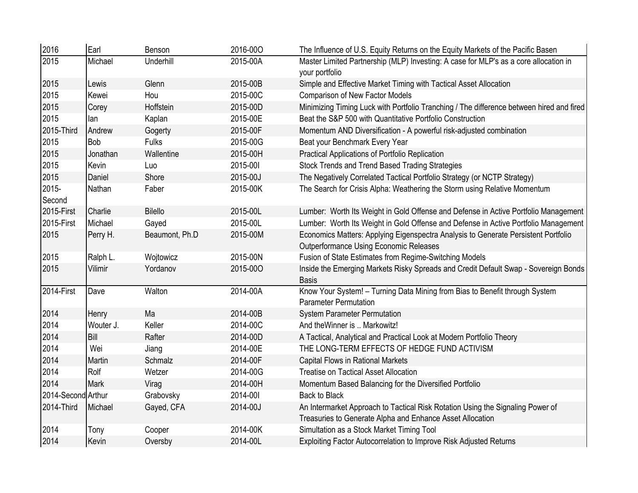| 2016               | Earl        | Benson         | 2016-000 | The Influence of U.S. Equity Returns on the Equity Markets of the Pacific Basen                                                             |
|--------------------|-------------|----------------|----------|---------------------------------------------------------------------------------------------------------------------------------------------|
| 2015               | Michael     | Underhill      | 2015-00A | Master Limited Partnership (MLP) Investing: A case for MLP's as a core allocation in<br>your portfolio                                      |
| 2015               | Lewis       | Glenn          | 2015-00B | Simple and Effective Market Timing with Tactical Asset Allocation                                                                           |
| 2015               | Kewei       | Hou            | 2015-00C | Comparison of New Factor Models                                                                                                             |
| 2015               | Corey       | Hoffstein      | 2015-00D | Minimizing Timing Luck with Portfolio Tranching / The difference between hired and fired                                                    |
| 2015               | lan         | Kaplan         | 2015-00E | Beat the S&P 500 with Quantitative Portfolio Construction                                                                                   |
| 2015-Third         | Andrew      | Gogerty        | 2015-00F | Momentum AND Diversification - A powerful risk-adjusted combination                                                                         |
| 2015               | <b>Bob</b>  | <b>Fulks</b>   | 2015-00G | Beat your Benchmark Every Year                                                                                                              |
| 2015               | Jonathan    | Wallentine     | 2015-00H | Practical Applications of Portfolio Replication                                                                                             |
| 2015               | Kevin       | Luo            | 2015-001 | Stock Trends and Trend Based Trading Strategies                                                                                             |
| 2015               | Daniel      | Shore          | 2015-00J | The Negatively Correlated Tactical Portfolio Strategy (or NCTP Strategy)                                                                    |
| 2015-<br>Second    | Nathan      | Faber          | 2015-00K | The Search for Crisis Alpha: Weathering the Storm using Relative Momentum                                                                   |
| 2015-First         | Charlie     | <b>Bilello</b> | 2015-00L | Lumber: Worth Its Weight in Gold Offense and Defense in Active Portfolio Management                                                         |
| 2015-First         | Michael     | Gayed          | 2015-00L | Lumber: Worth Its Weight in Gold Offense and Defense in Active Portfolio Management                                                         |
| 2015               | Perry H.    | Beaumont, Ph.D | 2015-00M | Economics Matters: Applying Eigenspectra Analysis to Generate Persistent Portfolio<br>Outperformance Using Economic Releases                |
| 2015               | Ralph L.    | Wojtowicz      | 2015-00N | Fusion of State Estimates from Regime-Switching Models                                                                                      |
| 2015               | Vilimir     | Yordanov       | 2015-000 | Inside the Emerging Markets Risky Spreads and Credit Default Swap - Sovereign Bonds<br><b>Basis</b>                                         |
| 2014-First         | Dave        | Walton         | 2014-00A | Know Your System! - Turning Data Mining from Bias to Benefit through System<br><b>Parameter Permutation</b>                                 |
| 2014               | Henry       | Ma             | 2014-00B | <b>System Parameter Permutation</b>                                                                                                         |
| 2014               | Wouter J.   | Keller         | 2014-00C | And the Winner is  Markowitz!                                                                                                               |
| 2014               | <b>Bill</b> | Rafter         | 2014-00D | A Tactical, Analytical and Practical Look at Modern Portfolio Theory                                                                        |
| 2014               | Wei         | Jiang          | 2014-00E | THE LONG-TERM EFFECTS OF HEDGE FUND ACTIVISM                                                                                                |
| 2014               | Martin      | Schmalz        | 2014-00F | <b>Capital Flows in Rational Markets</b>                                                                                                    |
| 2014               | Rolf        | Wetzer         | 2014-00G | <b>Treatise on Tactical Asset Allocation</b>                                                                                                |
| 2014               | Mark        | Virag          | 2014-00H | Momentum Based Balancing for the Diversified Portfolio                                                                                      |
| 2014-Second Arthur |             | Grabovsky      | 2014-001 | <b>Back to Black</b>                                                                                                                        |
| 2014-Third         | Michael     | Gayed, CFA     | 2014-00J | An Intermarket Approach to Tactical Risk Rotation Using the Signaling Power of<br>Treasuries to Generate Alpha and Enhance Asset Allocation |
| 2014               | Tony        | Cooper         | 2014-00K | Simultation as a Stock Market Timing Tool                                                                                                   |
| 2014               | Kevin       | Oversby        | 2014-00L | Exploiting Factor Autocorrelation to Improve Risk Adjusted Returns                                                                          |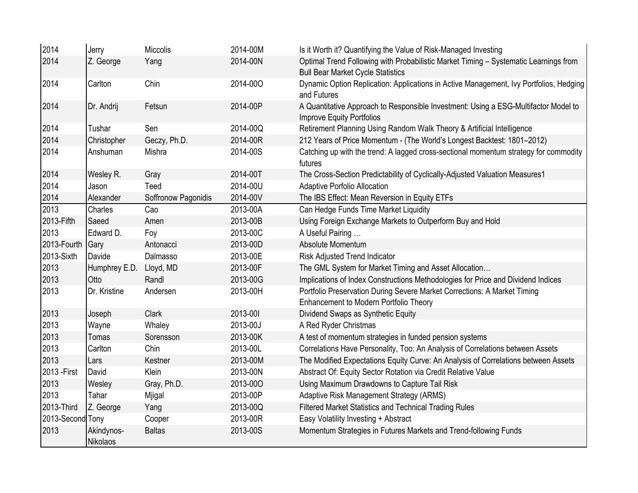| 2014             | Jerry                  | Miccolis            | 2014-00M | Is it Worth it? Quantifying the Value of Risk-Managed Investing                                                                  |
|------------------|------------------------|---------------------|----------|----------------------------------------------------------------------------------------------------------------------------------|
| 2014             | Z. George              | Yang                | 2014-00N | Optimal Trend Following with Probabilistic Market Timing - Systematic Learnings from<br><b>Bull Bear Market Cycle Statistics</b> |
| 2014             | Carlton                | Chin                | 2014-000 | Dynamic Option Replication: Applications in Active Management, Ivy Portfolios, Hedging<br>and Futures                            |
| 2014             | Dr. Andrij             | Fetsun              | 2014-00P | A Quantitative Approach to Responsible Investment: Using a ESG-Multifactor Model to<br><b>Improve Equity Portfolios</b>          |
| 2014             | Tushar                 | Sen                 | 2014-00Q | Retirement Planning Using Random Walk Theory & Artificial Intelligence                                                           |
| 2014             | Christopher            | Geczy, Ph.D.        | 2014-00R | 212 Years of Price Momentum - (The World's Longest Backtest: 1801-2012)                                                          |
| 2014             | Anshuman               | Mishra              | 2014-00S | Catching up with the trend: A lagged cross-sectional momentum strategy for commodity<br>futures                                  |
| 2014             | Wesley R.              | Gray                | 2014-00T | The Cross-Section Predictability of Cyclically-Adjusted Valuation Measures1                                                      |
| 2014             | Jason                  | Teed                | 2014-00U | <b>Adaptive Porfolio Allocation</b>                                                                                              |
| 2014             | Alexander              | Soffronow Pagonidis | 2014-00V | The IBS Effect: Mean Reversion in Equity ETFs                                                                                    |
| 2013             | <b>Charles</b>         | Cao                 | 2013-00A | Can Hedge Funds Time Market Liquidity                                                                                            |
| 2013-Fifth       | Saeed                  | Amen                | 2013-00B | Using Foreign Exchange Markets to Outperform Buy and Hold                                                                        |
| 2013             | Edward D.              | Foy                 | 2013-00C | A Useful Pairing                                                                                                                 |
| 2013-Fourth      | Gary                   | Antonacci           | 2013-00D | Absolute Momentum                                                                                                                |
| 2013-Sixth       | Davide                 | Dalmasso            | 2013-00E | Risk Adjusted Trend Indicator                                                                                                    |
| 2013             | Humphrey E.D.          | Lloyd, MD           | 2013-00F | The GML System for Market Timing and Asset Allocation                                                                            |
| 2013             | Otto                   | Randl               | 2013-00G | Implications of Index Constructions Methodologies for Price and Dividend Indices                                                 |
| 2013             | Dr. Kristine           | Andersen            | 2013-00H | Portfolio Preservation During Severe Market Corrections: A Market Timing<br>Enhancement to Modern Portfolio Theory               |
| 2013             | Joseph                 | Clark               | 2013-001 | Dividend Swaps as Synthetic Equity                                                                                               |
| 2013             | Wayne                  | Whaley              | 2013-00J | A Red Ryder Christmas                                                                                                            |
| 2013             | Tomas                  | Sorensson           | 2013-00K | A test of momentum strategies in funded pension systems                                                                          |
| 2013             | Carlton                | Chin                | 2013-00L | Correlations Have Personality, Too: An Analysis of Correlations between Assets                                                   |
| 2013             | Lars                   | Kestner             | 2013-00M | The Modified Expectations Equity Curve: An Analysis of Correlations between Assets                                               |
| 2013 - First     | David                  | Klein               | 2013-00N | Abstract Of: Equity Sector Rotation via Credit Relative Value                                                                    |
| 2013             | Wesley                 | Gray, Ph.D.         | 2013-000 | Using Maximum Drawdowns to Capture Tail Risk                                                                                     |
| 2013             | Tahar                  | Mjigal              | 2013-00P | Adaptive Risk Management Strategy (ARMS)                                                                                         |
| 2013-Third       | Z. George              | Yang                | 2013-00Q | Filtered Market Statistics and Technical Trading Rules                                                                           |
| 2013-Second Tony |                        | Cooper              | 2013-00R | Easy Volatility Investing + Abstract                                                                                             |
| 2013             | Akindynos-<br>Nikolaos | <b>Baltas</b>       | 2013-00S | Momentum Strategies in Futures Markets and Trend-following Funds                                                                 |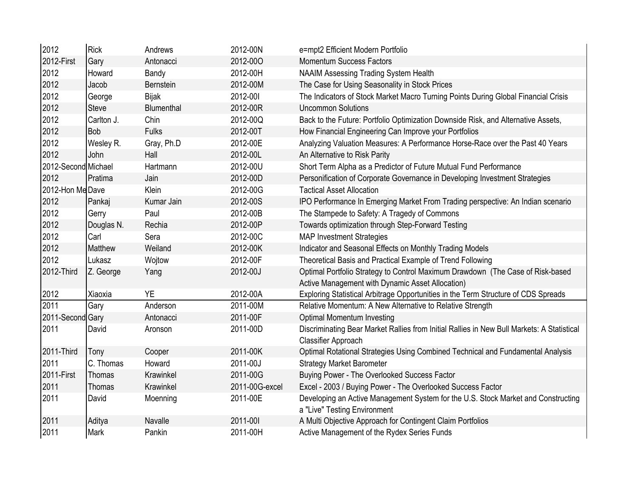| 2012                | Rick         | Andrews      | 2012-00N       | e=mpt2 Efficient Modern Portfolio                                                                                 |
|---------------------|--------------|--------------|----------------|-------------------------------------------------------------------------------------------------------------------|
| 2012-First          | Gary         | Antonacci    | 2012-000       | <b>Momentum Success Factors</b>                                                                                   |
| 2012                | Howard       | Bandy        | 2012-00H       | <b>NAAIM Assessing Trading System Health</b>                                                                      |
| 2012                | Jacob        | Bernstein    | 2012-00M       | The Case for Using Seasonality in Stock Prices                                                                    |
| 2012                | George       | <b>Bijak</b> | 2012-001       | The Indicators of Stock Market Macro Turning Points During Global Financial Crisis                                |
| 2012                | <b>Steve</b> | Blumenthal   | 2012-00R       | <b>Uncommon Solutions</b>                                                                                         |
| 2012                | Carlton J.   | Chin         | 2012-00Q       | Back to the Future: Portfolio Optimization Downside Risk, and Alternative Assets,                                 |
| 2012                | Bob          | <b>Fulks</b> | 2012-00T       | How Financial Engineering Can Improve your Portfolios                                                             |
| 2012                | Wesley R.    | Gray, Ph.D   | 2012-00E       | Analyzing Valuation Measures: A Performance Horse-Race over the Past 40 Years                                     |
| 2012                | John         | Hall         | 2012-00L       | An Alternative to Risk Parity                                                                                     |
| 2012-Second Michael |              | Hartmann     | 2012-00U       | Short Term Alpha as a Predictor of Future Mutual Fund Performance                                                 |
| 2012                | Pratima      | Jain         | 2012-00D       | Personification of Corporate Governance in Developing Investment Strategies                                       |
| 2012-Hon Me Dave    |              | Klein        | 2012-00G       | <b>Tactical Asset Allocation</b>                                                                                  |
| 2012                | Pankaj       | Kumar Jain   | 2012-00S       | IPO Performance In Emerging Market From Trading perspective: An Indian scenario                                   |
| 2012                | Gerry        | Paul         | 2012-00B       | The Stampede to Safety: A Tragedy of Commons                                                                      |
| 2012                | Douglas N.   | Rechia       | 2012-00P       | Towards optimization through Step-Forward Testing                                                                 |
| 2012                | Carl         | Sera         | 2012-00C       | <b>MAP Investment Strategies</b>                                                                                  |
| 2012                | Matthew      | Weiland      | 2012-00K       | Indicator and Seasonal Effects on Monthly Trading Models                                                          |
| 2012                | Lukasz       | Wojtow       | 2012-00F       | Theoretical Basis and Practical Example of Trend Following                                                        |
| 2012-Third          | Z. George    | Yang         | 2012-00J       | Optimal Portfolio Strategy to Control Maximum Drawdown (The Case of Risk-based                                    |
|                     |              |              |                | Active Management with Dynamic Asset Allocation)                                                                  |
| 2012                | Xiaoxia      | <b>YE</b>    | 2012-00A       | Exploring Statistical Arbitrage Opportunities in the Term Structure of CDS Spreads                                |
| 2011                | Gary         | Anderson     | 2011-00M       | Relative Momentum: A New Alternative to Relative Strength                                                         |
| 2011-Second Gary    |              | Antonacci    | 2011-00F       | <b>Optimal Momentum Investing</b>                                                                                 |
| 2011                | David        | Aronson      | 2011-00D       | Discriminating Bear Market Rallies from Initial Rallies in New Bull Markets: A Statistical                        |
|                     |              |              |                | <b>Classifier Approach</b>                                                                                        |
| 2011-Third          | Tony         | Cooper       | 2011-00K       | Optimal Rotational Strategies Using Combined Technical and Fundamental Analysis                                   |
| 2011                | C. Thomas    | Howard       | 2011-00J       | <b>Strategy Market Barometer</b>                                                                                  |
| 2011-First          | Thomas       | Krawinkel    | 2011-00G       | Buying Power - The Overlooked Success Factor                                                                      |
| 2011                | Thomas       | Krawinkel    | 2011-00G-excel | Excel - 2003 / Buying Power - The Overlooked Success Factor                                                       |
| 2011                | David        | Moenning     | 2011-00E       | Developing an Active Management System for the U.S. Stock Market and Constructing<br>a "Live" Testing Environment |
| 2011                | Aditya       | Navalle      | 2011-001       | A Multi Objective Approach for Contingent Claim Portfolios                                                        |
| 2011                | Mark         | Pankin       | 2011-00H       | Active Management of the Rydex Series Funds                                                                       |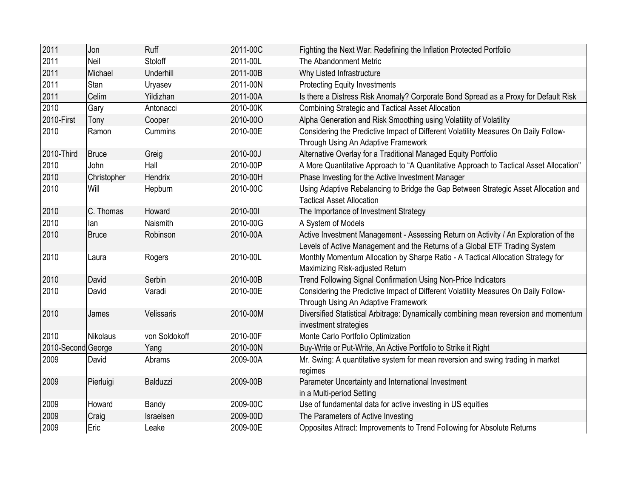| 2011               | Jon         | Ruff          | 2011-00C | Fighting the Next War: Redefining the Inflation Protected Portfolio                                                                                               |
|--------------------|-------------|---------------|----------|-------------------------------------------------------------------------------------------------------------------------------------------------------------------|
| 2011               | Neil        | Stoloff       | 2011-00L | The Abandonment Metric                                                                                                                                            |
| 2011               | Michael     | Underhill     | 2011-00B | Why Listed Infrastructure                                                                                                                                         |
| 2011               | <b>Stan</b> | Uryasev       | 2011-00N | <b>Protecting Equity Investments</b>                                                                                                                              |
| 2011               | Celim       | Yildizhan     | 2011-00A | Is there a Distress Risk Anomaly? Corporate Bond Spread as a Proxy for Default Risk                                                                               |
| 2010               | Gary        | Antonacci     | 2010-00K | Combining Strategic and Tactical Asset Allocation                                                                                                                 |
| 2010-First         | Tony        | Cooper        | 2010-000 | Alpha Generation and Risk Smoothing using Volatility of Volatility                                                                                                |
| 2010               | Ramon       | Cummins       | 2010-00E | Considering the Predictive Impact of Different Volatility Measures On Daily Follow-<br>Through Using An Adaptive Framework                                        |
| 2010-Third         | Bruce       | Greig         | 2010-00J | Alternative Overlay for a Traditional Managed Equity Portfolio                                                                                                    |
| 2010               | John        | Hall          | 2010-00P | A More Quantitative Approach to "A Quantitative Approach to Tactical Asset Allocation"                                                                            |
| 2010               | Christopher | Hendrix       | 2010-00H | Phase Investing for the Active Investment Manager                                                                                                                 |
| 2010               | Will        | Hepburn       | 2010-00C | Using Adaptive Rebalancing to Bridge the Gap Between Strategic Asset Allocation and<br><b>Tactical Asset Allocation</b>                                           |
| 2010               | C. Thomas   | Howard        | 2010-001 | The Importance of Investment Strategy                                                                                                                             |
| 2010               | lan         | Naismith      | 2010-00G | A System of Models                                                                                                                                                |
| 2010               | Bruce       | Robinson      | 2010-00A | Active Investment Management - Assessing Return on Activity / An Exploration of the<br>Levels of Active Management and the Returns of a Global ETF Trading System |
| 2010               | Laura       | Rogers        | 2010-00L | Monthly Momentum Allocation by Sharpe Ratio - A Tactical Allocation Strategy for<br>Maximizing Risk-adjusted Return                                               |
| 2010               | David       | Serbin        | 2010-00B | Trend Following Signal Confirmation Using Non-Price Indicators                                                                                                    |
| 2010               | David       | Varadi        | 2010-00E | Considering the Predictive Impact of Different Volatility Measures On Daily Follow-<br>Through Using An Adaptive Framework                                        |
| 2010               | James       | Velissaris    | 2010-00M | Diversified Statistical Arbitrage: Dynamically combining mean reversion and momentum<br>investment strategies                                                     |
| 2010               | Nikolaus    | von Soldokoff | 2010-00F | Monte Carlo Portfolio Optimization                                                                                                                                |
| 2010-Second George |             | Yang          | 2010-00N | Buy-Write or Put-Write, An Active Portfolio to Strike it Right                                                                                                    |
| 2009               | David       | Abrams        | 2009-00A | Mr. Swing: A quantitative system for mean reversion and swing trading in market<br>regimes                                                                        |
| 2009               | Pierluigi   | Balduzzi      | 2009-00B | Parameter Uncertainty and International Investment<br>in a Multi-period Setting                                                                                   |
| 2009               | Howard      | Bandy         | 2009-00C | Use of fundamental data for active investing in US equities                                                                                                       |
| 2009               | Craig       | Israelsen     | 2009-00D | The Parameters of Active Investing                                                                                                                                |
| 2009               | Eric        | Leake         | 2009-00E | Opposites Attract: Improvements to Trend Following for Absolute Returns                                                                                           |